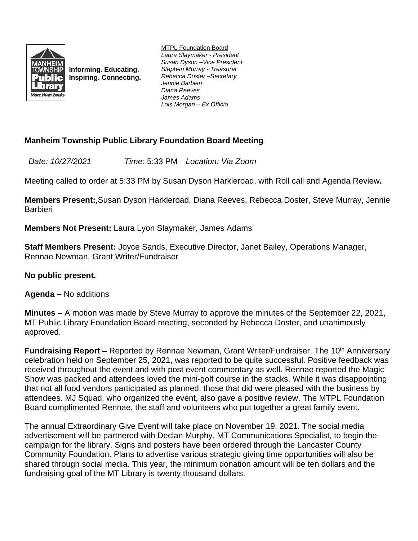

**Informing. Educating. Inspiring. Connecting.** MTPL Foundation Board *Laura Slaymaker - President Susan Dyson –Vice President Stephen Murray - Treasurer Rebecca Doster –Secretary Jennie Barbieri Diana Reeves James Adams Lois Morgan – Ex Officio*

# **Manheim Township Public Library Foundation Board Meeting**

*Date: 10/27/2021 Time:* 5:33 PM *Location: Via Zoom*

Meeting called to order at 5:33 PM by Susan Dyson Harkleroad, with Roll call and Agenda Review**.**

**Members Present:**,Susan Dyson Harkleroad, Diana Reeves, Rebecca Doster, Steve Murray, Jennie **Barbieri** 

**Members Not Present:** Laura Lyon Slaymaker, James Adams

**Staff Members Present:** Joyce Sands, Executive Director, Janet Bailey, Operations Manager, Rennae Newman, Grant Writer/Fundraiser

# **No public present.**

**Agenda –** No additions

**Minutes** – A motion was made by Steve Murray to approve the minutes of the September 22, 2021, MT Public Library Foundation Board meeting, seconded by Rebecca Doster, and unanimously approved.

**Fundraising Report –** Reported by Rennae Newman, Grant Writer/Fundraiser. The 10<sup>th</sup> Anniversary celebration held on September 25, 2021, was reported to be quite successful. Positive feedback was received throughout the event and with post event commentary as well. Rennae reported the Magic Show was packed and attendees loved the mini-golf course in the stacks. While it was disappointing that not all food vendors participated as planned, those that did were pleased with the business by attendees. MJ Squad, who organized the event, also gave a positive review. The MTPL Foundation Board complimented Rennae, the staff and volunteers who put together a great family event.

The annual Extraordinary Give Event will take place on November 19, 2021. The social media advertisement will be partnered with Declan Murphy, MT Communications Specialist, to begin the campaign for the library. Signs and posters have been ordered through the Lancaster County Community Foundation. Plans to advertise various strategic giving time opportunities will also be shared through social media. This year, the minimum donation amount will be ten dollars and the fundraising goal of the MT Library is twenty thousand dollars.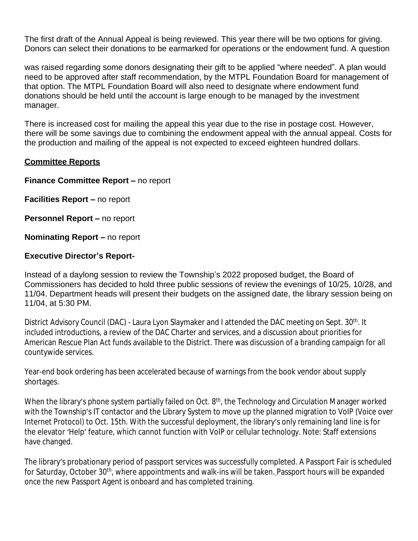The first draft of the Annual Appeal is being reviewed. This year there will be two options for giving. Donors can select their donations to be earmarked for operations or the endowment fund. A question

was raised regarding some donors designating their gift to be applied "where needed". A plan would need to be approved after staff recommendation, by the MTPL Foundation Board for management of that option. The MTPL Foundation Board will also need to designate where endowment fund donations should be held until the account is large enough to be managed by the investment manager.

There is increased cost for mailing the appeal this year due to the rise in postage cost. However, there will be some savings due to combining the endowment appeal with the annual appeal. Costs for the production and mailing of the appeal is not expected to exceed eighteen hundred dollars.

### **Committee Reports**

#### **Finance Committee Report – no report**

**Facilities Report – no report** 

**Personnel Report – no report** 

**Nominating Report –** no report

### **Executive Director's Report-**

Instead of a daylong session to review the Township's 2022 proposed budget, the Board of Commissioners has decided to hold three public sessions of review the evenings of 10/25, 10/28, and 11/04. Department heads will present their budgets on the assigned date, the library session being on 11/04, at 5:30 PM.

District Advisory Council (DAC) - Laura Lyon Slaymaker and I attended the DAC meeting on Sept. 30<sup>th</sup>. It included introductions, a review of the DAC Charter and services, and a discussion about priorities for American Rescue Plan Act funds available to the District. There was discussion of a branding campaign for all countywide services.

Year-end book ordering has been accelerated because of warnings from the book vendor about supply shortages.

When the library's phone system partially failed on Oct. 8<sup>th</sup>, the Technology and Circulation Manager worked with the Township's IT contactor and the Library System to move up the planned migration to VoIP (Voice over Internet Protocol) to Oct. 15th. With the successful deployment, the library's only remaining land line is for the elevator 'Help' feature, which cannot function with VoIP or cellular technology. Note: Staff extensions have changed.

The library's probationary period of passport services was successfully completed. A Passport Fair is scheduled for Saturday, October 30<sup>th</sup>, where appointments and walk-ins will be taken. Passport hours will be expanded once the new Passport Agent is onboard and has completed training.